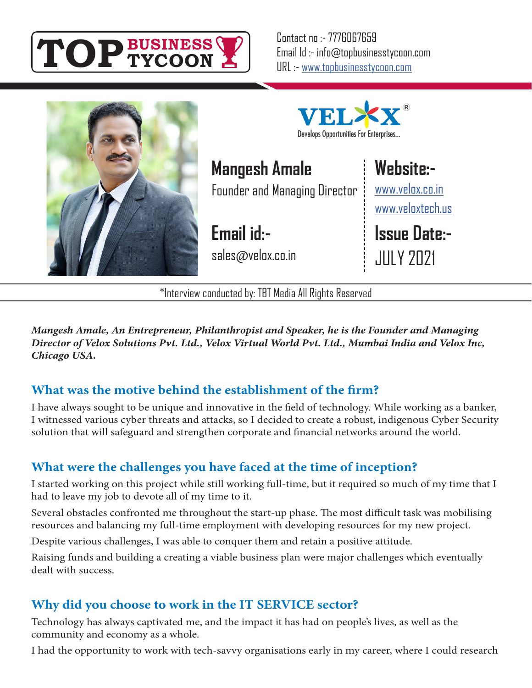

Contact no :- 7776067659 Email Id :- info@topbusinesstycoon.com URL :- www.topbusinesstycoon.com



Develops Opportunities For Enterprises...

**Mangesh Amale** Founder and Managing Director

**Email id:** sales@velox.co.in **Website:-**

www.velox.co.in www.veloxtech.us

**Issue Date:-** JULY 2021

\*Interview conducted by: TBT Media All Rights Reserved

*Mangesh Amale, An Entrepreneur, Philanthropist and Speaker, he is the Founder and Managing Director of Velox Solutions Pvt. Ltd., Velox Virtual World Pvt. Ltd., Mumbai India and Velox Inc, Chicago USA.*

## **What was the motive behind the establishment of the firm?**

I have always sought to be unique and innovative in the field of technology. While working as a banker, I witnessed various cyber threats and attacks, so I decided to create a robust, indigenous Cyber Security solution that will safeguard and strengthen corporate and financial networks around the world.

# **What were the challenges you have faced at the time of inception?**

I started working on this project while still working full-time, but it required so much of my time that I had to leave my job to devote all of my time to it.

Several obstacles confronted me throughout the start-up phase. The most difficult task was mobilising resources and balancing my full-time employment with developing resources for my new project.

Despite various challenges, I was able to conquer them and retain a positive attitude.

Raising funds and building a creating a viable business plan were major challenges which eventually dealt with success.

## **Why did you choose to work in the IT SERVICE sector?**

Technology has always captivated me, and the impact it has had on people's lives, as well as the community and economy as a whole.

I had the opportunity to work with tech-savvy organisations early in my career, where I could research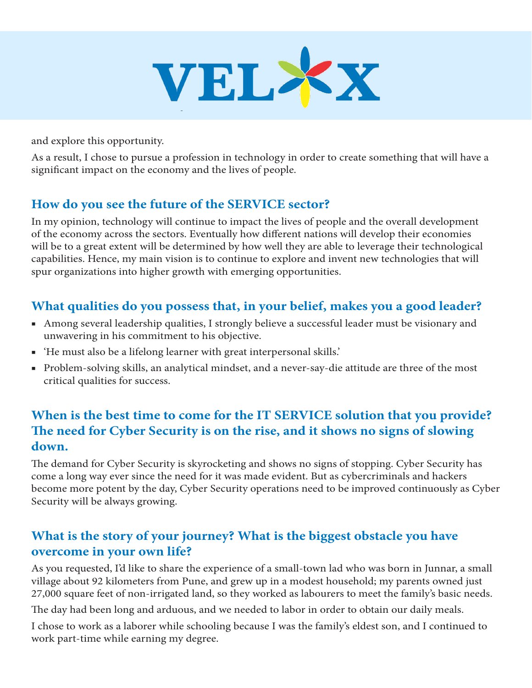

and explore this opportunity.

As a result, I chose to pursue a profession in technology in order to create something that will have a significant impact on the economy and the lives of people.

## **How do you see the future of the SERVICE sector?**

In my opinion, technology will continue to impact the lives of people and the overall development of the economy across the sectors. Eventually how different nations will develop their economies will be to a great extent will be determined by how well they are able to leverage their technological capabilities. Hence, my main vision is to continue to explore and invent new technologies that will spur organizations into higher growth with emerging opportunities.

#### **What qualities do you possess that, in your belief, makes you a good leader?**

- Among several leadership qualities, I strongly believe a successful leader must be visionary and unwavering in his commitment to his objective.
- 'He must also be a lifelong learner with great interpersonal skills.'
- Problem-solving skills, an analytical mindset, and a never-say-die attitude are three of the most critical qualities for success.

## **When is the best time to come for the IT SERVICE solution that you provide? The need for Cyber Security is on the rise, and it shows no signs of slowing down.**

The demand for Cyber Security is skyrocketing and shows no signs of stopping. Cyber Security has come a long way ever since the need for it was made evident. But as cybercriminals and hackers become more potent by the day, Cyber Security operations need to be improved continuously as Cyber Security will be always growing.

#### **What is the story of your journey? What is the biggest obstacle you have overcome in your own life?**

As you requested, I'd like to share the experience of a small-town lad who was born in Junnar, a small village about 92 kilometers from Pune, and grew up in a modest household; my parents owned just 27,000 square feet of non-irrigated land, so they worked as labourers to meet the family's basic needs.

The day had been long and arduous, and we needed to labor in order to obtain our daily meals.

I chose to work as a laborer while schooling because I was the family's eldest son, and I continued to work part-time while earning my degree.